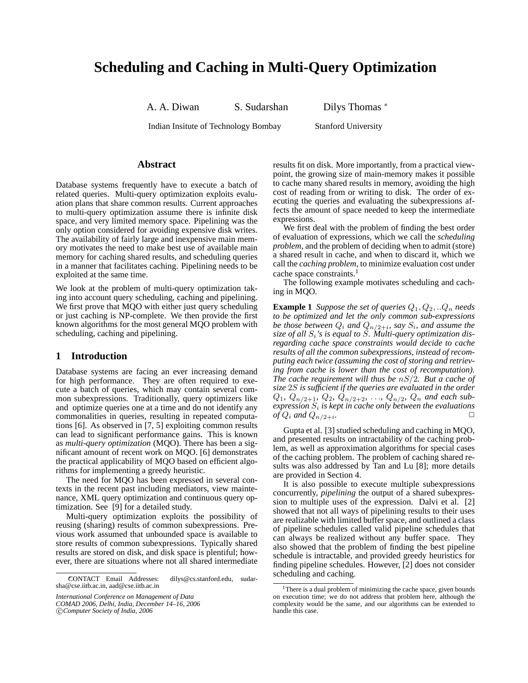# **Scheduling and Caching in Multi-Query Optimization**

A. A. Diwan S. Sudarshan Dilys Thomas <sup>∗</sup>

Indian Insitute of Technology Bombay Stanford University

# **Abstract**

Database systems frequently have to execute a batch of related queries. Multi-query optimization exploits evaluation plans that share common results. Current approaches to multi-query optimization assume there is infinite disk space, and very limited memory space. Pipelining was the only option considered for avoiding expensive disk writes. The availability of fairly large and inexpensive main memory motivates the need to make best use of available main memory for caching shared results, and scheduling queries in a manner that facilitates caching. Pipelining needs to be exploited at the same time.

We look at the problem of multi-query optimization taking into account query scheduling, caching and pipelining. We first prove that MQO with either just query scheduling or just caching is NP-complete. We then provide the first known algorithms for the most general MQO problem with scheduling, caching and pipelining.

## **1 Introduction**

Database systems are facing an ever increasing demand for high performance. They are often required to execute a batch of queries, which may contain several common subexpressions. Traditionally, query optimizers like and optimize queries one at a time and do not identify any commonalities in queries, resulting in repeated computations [6]. As observed in [7, 5] exploiting common results can lead to significant performance gains. This is known as *multi-query optimization* (MQO). There has been a significant amount of recent work on MQO. [6] demonstrates the practical applicability of MQO based on efficient algorithms for implementing a greedy heuristic.

The need for MQO has been expressed in several contexts in the recent past including mediators, view maintenance, XML query optimization and continuous query optimization. See [9] for a detailed study.

Multi-query optimization exploits the possibility of reusing (sharing) results of common subexpressions. Previous work assumed that unbounded space is available to store results of common subexpressions. Typically shared results are stored on disk, and disk space is plentiful; however, there are situations where not all shared intermediate

results fit on disk. More importantly, from a practical viewpoint, the growing size of main-memory makes it possible to cache many shared results in memory, avoiding the high cost of reading from or writing to disk. The order of executing the queries and evaluating the subexpressions affects the amount of space needed to keep the intermediate expressions.

We first deal with the problem of finding the best order of evaluation of expressions, which we call the *scheduling problem*, and the problem of deciding when to admit (store) a shared result in cache, and when to discard it, which we call the *caching problem*, to minimize evaluation cost under cache space constraints.<sup>1</sup>

The following example motivates scheduling and caching in MQO.

**Example 1** *Suppose the set of queries*  $Q_1, Q_2, ... Q_n$  *needs to be optimized and let the only common sub-expressions* be those between  $Q_i$  and  $Q_{n/2+i}$ , say  $S_i$ , and assume the *size of all* Si*'s is equal to* S*. Multi-query optimization disregarding cache space constraints would decide to cache results of all the common subexpressions, instead of recomputing each twice (assuming the cost of storing and retrieving from cache is lower than the cost of recomputation). The cache requirement will thus be* nS/2*. But a cache of size* 2S *is sufficient if the queries are evaluated in the order*  $Q_1, Q_{n/2+1}, Q_2, Q_{n/2+2}, \ldots, Q_{n/2}, Q_n$  and each sub $expression S<sub>i</sub>$  is kept in cache only between the evaluations *of*  $Q_i$  *and*  $Q_{n/2+i}$ *. .* ✷

Gupta et al. [3] studied scheduling and caching in MQO, and presented results on intractability of the caching problem, as well as approximation algorithms for special cases of the caching problem. The problem of caching shared results was also addressed by Tan and Lu [8]; more details are provided in Section 4.

It is also possible to execute multiple subexpressions concurrently, *pipelining* the output of a shared subexpression to multiple uses of the expression. Dalvi et al. [2] showed that not all ways of pipelining results to their uses are realizable with limited buffer space, and outlined a class of pipeline schedules called valid pipeline schedules that can always be realized without any buffer space. They also showed that the problem of finding the best pipeline schedule is intractable, and provided greedy heuristics for finding pipeline schedules. However, [2] does not consider scheduling and caching.

<sup>∗</sup>CONTACT Email Addresses: dilys@cs.stanford.edu, sudarsha@cse.iitb.ac.in, aad@cse.iitb.ac.in

*International Conference on Management of Data*

*COMAD 2006, Delhi, India, December 14–16, 2006*

<sup>°</sup>c *Computer Society of India, 2006*

<sup>&</sup>lt;sup>1</sup>There is a dual problem of minimizing the cache space, given bounds on execution time; we do not address that problem here, although the complexity would be the same, and our algorithms can be extended to handle this case.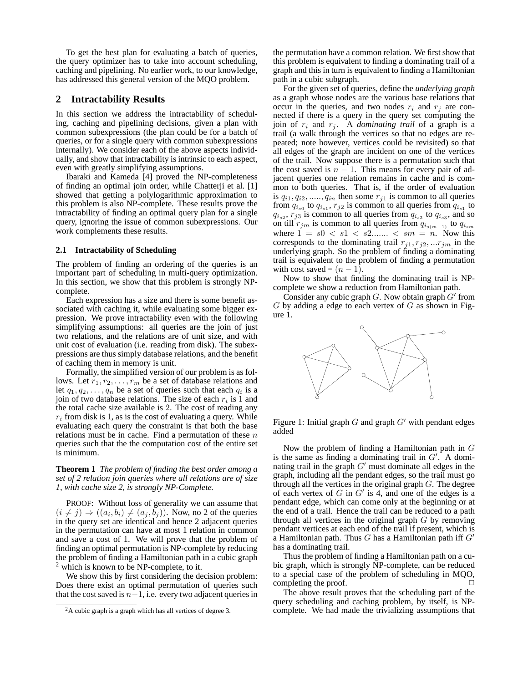To get the best plan for evaluating a batch of queries, the query optimizer has to take into account scheduling, caching and pipelining. No earlier work, to our knowledge, has addressed this general version of the MQO problem.

## **2 Intractability Results**

In this section we address the intractability of scheduling, caching and pipelining decisions, given a plan with common subexpressions (the plan could be for a batch of queries, or for a single query with common subexpressions internally). We consider each of the above aspects individually, and show that intractability is intrinsic to each aspect, even with greatly simplifying assumptions.

Ibaraki and Kameda [4] proved the NP-completeness of finding an optimal join order, while Chatterji et al. [1] showed that getting a polylogarithmic approximation to this problem is also NP-complete. These results prove the intractability of finding an optimal query plan for a single query, ignoring the issue of common subexpressions. Our work complements these results.

#### **2.1 Intractability of Scheduling**

The problem of finding an ordering of the queries is an important part of scheduling in multi-query optimization. In this section, we show that this problem is strongly NPcomplete.

Each expression has a size and there is some benefit associated with caching it, while evaluating some bigger expression. We prove intractability even with the following simplifying assumptions: all queries are the join of just two relations, and the relations are of unit size, and with unit cost of evaluation (i.e. reading from disk). The subexpressions are thus simply database relations, and the benefit of caching them in memory is unit.

Formally, the simplified version of our problem is as follows. Let  $r_1, r_2, \ldots, r_m$  be a set of database relations and let  $q_1, q_2, \ldots, q_n$  be a set of queries such that each  $q_i$  is a join of two database relations. The size of each  $r_i$  is 1 and the total cache size available is 2. The cost of reading any  $r_i$  from disk is 1, as is the cost of evaluating a query. While evaluating each query the constraint is that both the base relations must be in cache. Find a permutation of these  $n$ queries such that the the computation cost of the entire set is minimum.

**Theorem 1** *The problem of finding the best order among a set of 2 relation join queries where all relations are of size 1, with cache size 2, is strongly NP-Complete.*

PROOF: Without loss of generality we can assume that  $(i \neq j) \Rightarrow ((a_i, b_i) \neq (a_j, b_j))$ . Now, no 2 of the queries in the query set are identical and hence 2 adjacent queries in the permutation can have at most 1 relation in common and save a cost of 1. We will prove that the problem of finding an optimal permutation is NP-complete by reducing the problem of finding a Hamiltonian path in a cubic graph  $<sup>2</sup>$  which is known to be NP-complete, to it.</sup>

We show this by first considering the decision problem: Does there exist an optimal permutation of queries such that the cost saved is  $n-1$ , i.e. every two adjacent queries in the permutation have a common relation. We first show that this problem is equivalent to finding a dominating trail of a graph and this in turn is equivalent to finding a Hamiltonian path in a cubic subgraph.

For the given set of queries, define the *underlying graph* as a graph whose nodes are the various base relations that occur in the queries, and two nodes  $r_i$  and  $r_j$  are connected if there is a query in the query set computing the join of  $r_i$  and  $r_j$ . A *dominating trail* of a graph is a trail (a walk through the vertices so that no edges are repeated; note however, vertices could be revisited) so that all edges of the graph are incident on one of the vertices of the trail. Now suppose there is a permutation such that the cost saved is  $n - 1$ . This means for every pair of adjacent queries one relation remains in cache and is common to both queries. That is, if the order of evaluation is  $q_{i1}, q_{i2}, \ldots, q_{in}$  then some  $r_{i1}$  is common to all queries from  $q_{i_{s0}}$  to  $q_{i_{s1}}, r_{j2}$  is common to all queries from  $q_{i_{s1}}$  to  $q_{i_{s2}}, r_{j3}$  is common to all queries from  $q_{i_{s2}}$  to  $q_{i_{s3}}$ , and so on till  $r_{jm}$  is common to all queries from  $q_{i_{s(m-1)}}$  to  $q_{i_{sm}}$ where  $1 = s0 < s1 < s2...$   $< sm = n$ . Now this corresponds to the dominating trail  $r_{j1}, r_{j2}, \ldots r_{jm}$  in the underlying graph. So the problem of finding a dominating trail is equivalent to the problem of finding a permutation with cost saved =  $(n - 1)$ .

Now to show that finding the dominating trail is NPcomplete we show a reduction from Hamiltonian path.

Consider any cubic graph  $G$ . Now obtain graph  $G'$  from  $G$  by adding a edge to each vertex of  $G$  as shown in Figure 1.



Figure 1: Initial graph  $G$  and graph  $G'$  with pendant edges added

Now the problem of finding a Hamiltonian path in  $G$ is the same as finding a dominating trail in  $G'$ . A dominating trail in the graph  $G'$  must dominate all edges in the graph, including all the pendant edges, so the trail must go through all the vertices in the original graph  $G$ . The degree of each vertex of  $G$  in  $G'$  is 4, and one of the edges is a pendant edge, which can come only at the beginning or at the end of a trail. Hence the trail can be reduced to a path through all vertices in the original graph  $G$  by removing pendant vertices at each end of the trail if present, which is a Hamiltonian path. Thus  $G$  has a Hamiltonian path iff  $G<sup>o</sup>$ has a dominating trail.

Thus the problem of finding a Hamiltonian path on a cubic graph, which is strongly NP-complete, can be reduced to a special case of the problem of scheduling in MQO, completing the proof.  $\Box$ 

The above result proves that the scheduling part of the query scheduling and caching problem, by itself, is NPcomplete. We had made the trivializing assumptions that

<sup>&</sup>lt;sup>2</sup>A cubic graph is a graph which has all vertices of degree 3.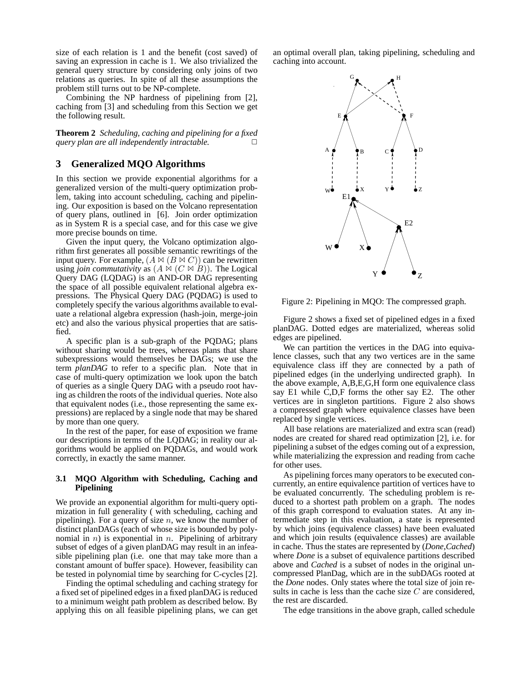size of each relation is 1 and the benefit (cost saved) of saving an expression in cache is 1. We also trivialized the general query structure by considering only joins of two relations as queries. In spite of all these assumptions the problem still turns out to be NP-complete.

Combining the NP hardness of pipelining from [2], caching from [3] and scheduling from this Section we get the following result.

**Theorem 2** *Scheduling, caching and pipelining for a fixed query plan are all independently intractable.*  $\square$ 

# **3 Generalized MQO Algorithms**

In this section we provide exponential algorithms for a generalized version of the multi-query optimization problem, taking into account scheduling, caching and pipelining. Our exposition is based on the Volcano representation of query plans, outlined in [6]. Join order optimization as in System R is a special case, and for this case we give more precise bounds on time.

Given the input query, the Volcano optimization algorithm first generates all possible semantic rewritings of the input query. For example,  $(A \bowtie (B \bowtie C))$  can be rewritten using *join commutativity* as  $(A \Join (C \Join B))$ . The Logical Query DAG (LQDAG) is an AND-OR DAG representing the space of all possible equivalent relational algebra expressions. The Physical Query DAG (PQDAG) is used to completely specify the various algorithms available to evaluate a relational algebra expression (hash-join, merge-join etc) and also the various physical properties that are satisfied.

A specific plan is a sub-graph of the PQDAG; plans without sharing would be trees, whereas plans that share subexpressions would themselves be DAGs; we use the term *planDAG* to refer to a specific plan. Note that in case of multi-query optimization we look upon the batch of queries as a single Query DAG with a pseudo root having as children the roots of the individual queries. Note also that equivalent nodes (i.e., those representing the same expressions) are replaced by a single node that may be shared by more than one query.

In the rest of the paper, for ease of exposition we frame our descriptions in terms of the LQDAG; in reality our algorithms would be applied on PQDAGs, and would work correctly, in exactly the same manner.

#### **3.1 MQO Algorithm with Scheduling, Caching and Pipelining**

We provide an exponential algorithm for multi-query optimization in full generality ( with scheduling, caching and pipelining). For a query of size  $n$ , we know the number of distinct planDAGs (each of whose size is bounded by polynomial in *n*) is exponential in *n*. Pipelining of arbitrary subset of edges of a given planDAG may result in an infeasible pipelining plan (i.e. one that may take more than a constant amount of buffer space). However, feasibility can be tested in polynomial time by searching for C-cycles [2].

Finding the optimal scheduling and caching strategy for a fixed set of pipelined edges in a fixed planDAG is reduced to a minimum weight path problem as described below. By applying this on all feasible pipelining plans, we can get

an optimal overall plan, taking pipelining, scheduling and caching into account.



Figure 2: Pipelining in MQO: The compressed graph.

Figure 2 shows a fixed set of pipelined edges in a fixed planDAG. Dotted edges are materialized, whereas solid edges are pipelined.

We can partition the vertices in the DAG into equivalence classes, such that any two vertices are in the same equivalence class iff they are connected by a path of pipelined edges (in the underlying undirected graph). In the above example, A,B,E,G,H form one equivalence class say E1 while C,D,F forms the other say E2. The other vertices are in singleton partitions. Figure 2 also shows a compressed graph where equivalence classes have been replaced by single vertices.

All base relations are materialized and extra scan (read) nodes are created for shared read optimization [2], i.e. for pipelining a subset of the edges coming out of a expression, while materializing the expression and reading from cache for other uses.

As pipelining forces many operators to be executed concurrently, an entire equivalence partition of vertices have to be evaluated concurrently. The scheduling problem is reduced to a shortest path problem on a graph. The nodes of this graph correspond to evaluation states. At any intermediate step in this evaluation, a state is represented by which joins (equivalence classes) have been evaluated and which join results (equivalence classes) are available in cache. Thus the states are represented by (*Done*,*Cached*) where *Done* is a subset of equivalence partitions described above and *Cached* is a subset of nodes in the original uncompressed PlanDag, which are in the subDAGs rooted at the *Done* nodes. Only states where the total size of join results in cache is less than the cache size  $C$  are considered, the rest are discarded.

The edge transitions in the above graph, called schedule